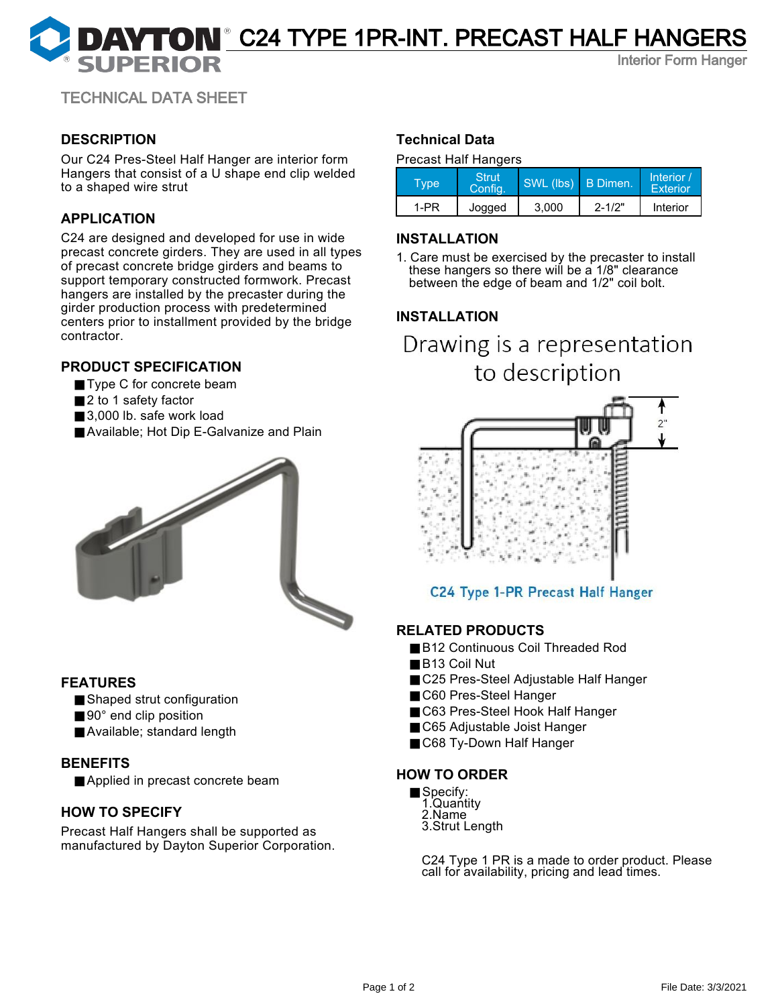# **DAYTON** C24 TYPE 1PR-INT. PRECAST HALF HANGERS

Interior Form Hanger

TECHNICAL DATA SHEET

# **DESCRIPTION**

Our C24 Pres-Steel Half Hanger are interior form Hangers that consist of a U shape end clip welded to a shaped wire strut

# **APPLICATION**

C24 are designed and developed for use in wide precast concrete girders. They are used in all types of precast concrete bridge girders and beams to support temporary constructed formwork. Precast hangers are installed by the precaster during the girder production process with predetermined centers prior to installment provided by the bridge contractor.

# **PRODUCT SPECIFICATION**

- Type C for concrete beam
- 2 to 1 safety factor
- 3,000 lb. safe work load
- Available; Hot Dip E-Galvanize and Plain



## **FEATURES**

- Shaped strut configuration
- 90° end clip position
- Available; standard length

## **BENEFITS**

■ Applied in precast concrete beam

# **HOW TO SPECIFY**

Precast Half Hangers shall be supported as manufactured by Dayton Superior Corporation.

# **Technical Data**

#### Precast Half Hangers

| Type | Strut<br><b>Config.</b> | SWL (lbs) B Dimen. |            | Interior /<br><b>Exterior</b> |
|------|-------------------------|--------------------|------------|-------------------------------|
| 1-PR | Jogged                  | 3.000              | $2 - 1/2"$ | Interior                      |

### **INSTALLATION**

1. Care must be exercised by the precaster to install these hangers so there will be a 1/8" clearance between the edge of beam and 1/2" coil bolt.

# **INSTALLATION**

Drawing is a representation to description



# C24 Type 1-PR Precast Half Hanger

## **RELATED PRODUCTS**

- B12 Continuous Coil Threaded Rod
- B13 Coil Nut
- C25 Pres-Steel Adjustable Half Hanger
- C60 Pres-Steel Hanger
- C63 Pres-Steel Hook Half Hanger
- C65 Adjustable Joist Hanger
- C68 Ty-Down Half Hanger

## **HOW TO ORDER**

- Specify: 1.Quantity 2.Name
	- 3.Strut Length

C24 Type 1 PR is a made to order product. Please call for availability, pricing and lead times.